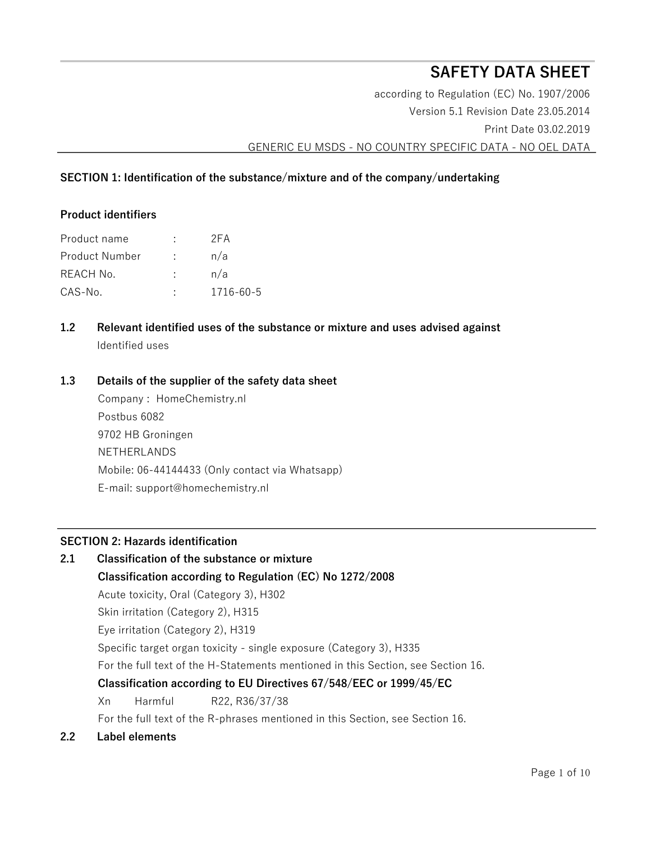# **SAFETY DATA SHEET**

according to Regulation (EC) No. 1907/2006 Version 5.1 Revision Date 23.05.2014 Print Date 03.02.2019 GENERIC EU MSDS - NO COUNTRY SPECIFIC DATA - NO OEL DATA

# **SECTION 1: Identification of the substance/mixture and of the company/undertaking**

# **Product identifiers**

| Product name   |   | 2FA       |
|----------------|---|-----------|
| Product Number | ÷ | n/a       |
| REACH No.      |   | n/a       |
| CAS-No.        |   | 1716-60-5 |

**1.2 Relevant identified uses of the substance or mixture and uses advised against**  Identified uses

# **1.3 Details of the supplier of the safety data sheet**

Company : HomeChemistry.nl Postbus 6082 9702 HB Groningen NETHERLANDS Mobile: 06-44144433 (Only contact via Whatsapp) E-mail: support@homechemistry.nl

# **SECTION 2: Hazards identification**

**2.1 Classification of the substance or mixture** 

# **Classification according to Regulation (EC) No 1272/2008**

Acute toxicity, Oral (Category 3), H302

Skin irritation (Category 2), H315

Eye irritation (Category 2), H319

Specific target organ toxicity - single exposure (Category 3), H335

For the full text of the H-Statements mentioned in this Section, see Section 16.

# **Classification according to EU Directives 67/548/EEC or 1999/45/EC**

Xn Harmful R22, R36/37/38

For the full text of the R-phrases mentioned in this Section, see Section 16.

# **2.2 Label elements**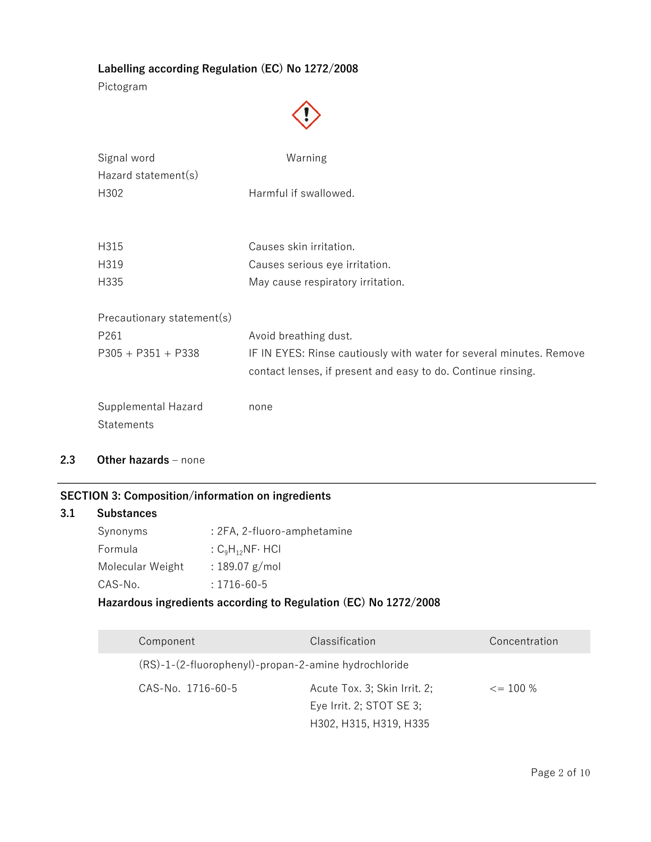# **Labelling according Regulation (EC) No 1272/2008**

Pictogram



| Signal word<br>Hazard statement(s)              | Warning                                                             |
|-------------------------------------------------|---------------------------------------------------------------------|
| H302                                            | Harmful if swallowed.                                               |
| H315                                            | Causes skin irritation.                                             |
| H319                                            | Causes serious eye irritation.                                      |
| H335                                            | May cause respiratory irritation.                                   |
| Precautionary statement(s)                      |                                                                     |
| P261                                            | Avoid breathing dust.                                               |
| $P305 + P351 + P338$                            | IF IN EYES: Rinse cautiously with water for several minutes. Remove |
|                                                 | contact lenses, if present and easy to do. Continue rinsing.        |
| <b>Supplemental Hazard</b><br><b>Statements</b> | none                                                                |

**2.3 Other hazards –** none

# **SECTION 3: Composition/information on ingredients**

## **3.1 Substances**

| Synonyms         | : 2FA, 2-fluoro-amphetamine |
|------------------|-----------------------------|
| Formula          | : $C_9H_{12}NF \cdot HCl$   |
| Molecular Weight | : 189.07 $g/mol$            |
| CAS-No.          | $: 1716 - 60 - 5$           |

# **Hazardous ingredients according to Regulation (EC) No 1272/2008**

| Component                                            | Classification               | Concentration |
|------------------------------------------------------|------------------------------|---------------|
| (RS)-1-(2-fluorophenyl)-propan-2-amine hydrochloride |                              |               |
| CAS-No. 1716-60-5                                    | Acute Tox. 3; Skin Irrit. 2; | $\leq$ 100 %  |
|                                                      | Eye Irrit. 2; STOT SE 3;     |               |
|                                                      | H302, H315, H319, H335       |               |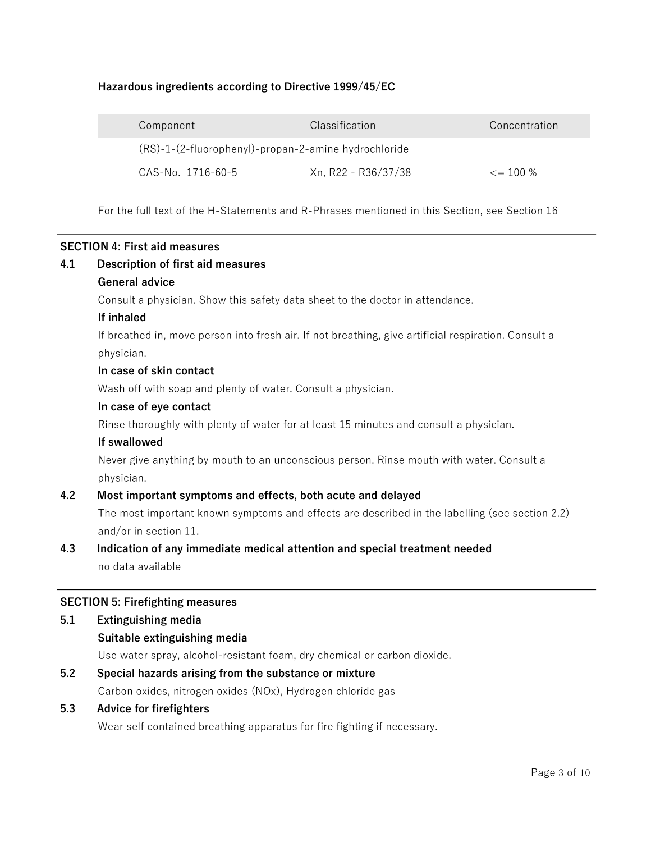# **Hazardous ingredients according to Directive 1999/45/EC**

| Component                                            | Classification      | Concentration      |
|------------------------------------------------------|---------------------|--------------------|
| (RS)-1-(2-fluorophenyl)-propan-2-amine hydrochloride |                     |                    |
| CAS-No. 1716-60-5                                    | Xn, R22 - R36/37/38 | $\epsilon = 100\%$ |

For the full text of the H-Statements and R-Phrases mentioned in this Section, see Section 16

# **SECTION 4: First aid measures**

# **4.1 Description of first aid measures General advice**  Consult a physician. Show this safety data sheet to the doctor in attendance. **If inhaled**  If breathed in, move person into fresh air. If not breathing, give artificial respiration. Consult a physician. **In case of skin contact**  Wash off with soap and plenty of water. Consult a physician. **In case of eye contact**  Rinse thoroughly with plenty of water for at least 15 minutes and consult a physician. **If swallowed**  Never give anything by mouth to an unconscious person. Rinse mouth with water. Consult a physician. **4.2 Most important symptoms and effects, both acute and delayed**  The most important known symptoms and effects are described in the labelling (see section 2.2) and/or in section 11. **4.3 Indication of any immediate medical attention and special treatment needed**  no data available **SECTION 5: Firefighting measures 5.1 Extinguishing media**

**Suitable extinguishing media** 

Use water spray, alcohol-resistant foam, dry chemical or carbon dioxide.

**5.2 Special hazards arising from the substance or mixture**  Carbon oxides, nitrogen oxides (NOx), Hydrogen chloride gas

# **5.3 Advice for firefighters**

Wear self contained breathing apparatus for fire fighting if necessary.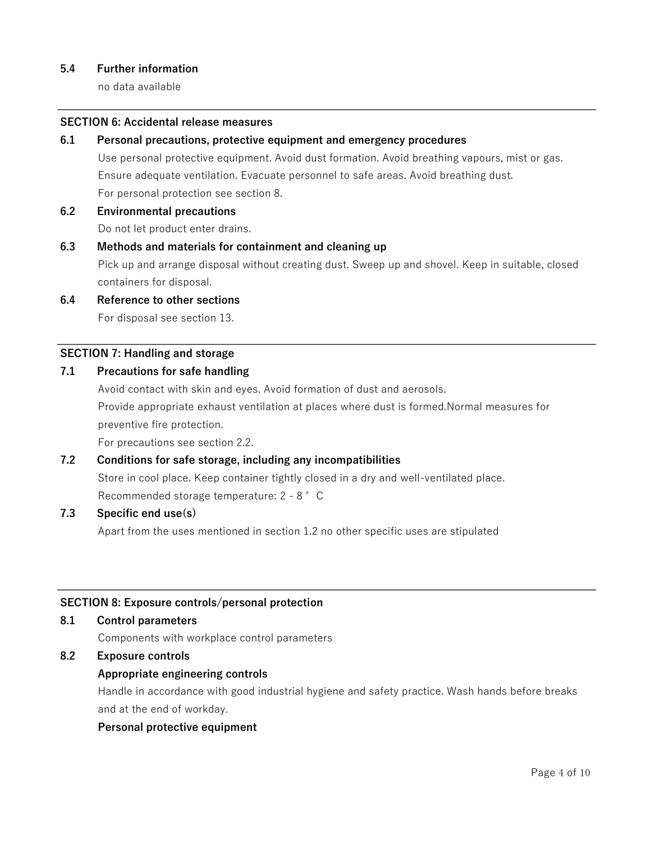# **5.4 Further information**

no data available

## **SECTION 6: Accidental release measures**

**6.1 Personal precautions, protective equipment and emergency procedures** 

Use personal protective equipment. Avoid dust formation. Avoid breathing vapours, mist or gas. Ensure adequate ventilation. Evacuate personnel to safe areas. Avoid breathing dust. For personal protection see section 8.

**6.2 Environmental precautions** 

Do not let product enter drains.

#### **6.3 Methods and materials for containment and cleaning up**

Pick up and arrange disposal without creating dust. Sweep up and shovel. Keep in suitable, closed containers for disposal.

**6.4 Reference to other sections** 

For disposal see section 13.

# **SECTION 7: Handling and storage**

# **7.1 Precautions for safe handling**

Avoid contact with skin and eyes. Avoid formation of dust and aerosols.

Provide appropriate exhaust ventilation at places where dust is formed.Normal measures for preventive fire protection.

For precautions see section 2.2.

# **7.2 Conditions for safe storage, including any incompatibilities**

Store in cool place. Keep container tightly closed in a dry and well-ventilated place.

Recommended storage temperature: 2 - 8 °C

#### **7.3 Specific end use(s)**

Apart from the uses mentioned in section 1.2 no other specific uses are stipulated

#### **SECTION 8: Exposure controls/personal protection**

#### **8.1 Control parameters**

Components with workplace control parameters

# **8.2 Exposure controls**

# **Appropriate engineering controls**

Handle in accordance with good industrial hygiene and safety practice. Wash hands before breaks and at the end of workday.

#### **Personal protective equipment**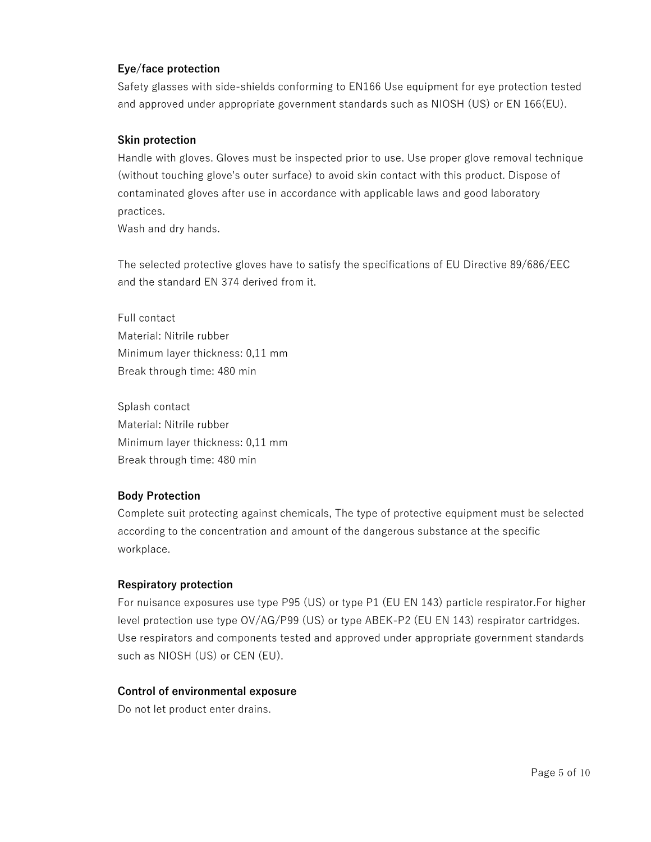# **Eye/face protection**

Safety glasses with side-shields conforming to EN166 Use equipment for eye protection tested and approved under appropriate government standards such as NIOSH (US) or EN 166(EU).

# **Skin protection**

Handle with gloves. Gloves must be inspected prior to use. Use proper glove removal technique (without touching glove's outer surface) to avoid skin contact with this product. Dispose of contaminated gloves after use in accordance with applicable laws and good laboratory practices.

Wash and dry hands.

The selected protective gloves have to satisfy the specifications of EU Directive 89/686/EEC and the standard EN 374 derived from it.

Full contact Material: Nitrile rubber Minimum layer thickness: 0,11 mm Break through time: 480 min

Splash contact Material: Nitrile rubber Minimum layer thickness: 0,11 mm Break through time: 480 min

# **Body Protection**

Complete suit protecting against chemicals, The type of protective equipment must be selected according to the concentration and amount of the dangerous substance at the specific workplace.

# **Respiratory protection**

For nuisance exposures use type P95 (US) or type P1 (EU EN 143) particle respirator.For higher level protection use type OV/AG/P99 (US) or type ABEK-P2 (EU EN 143) respirator cartridges. Use respirators and components tested and approved under appropriate government standards such as NIOSH (US) or CEN (EU).

# **Control of environmental exposure**

Do not let product enter drains.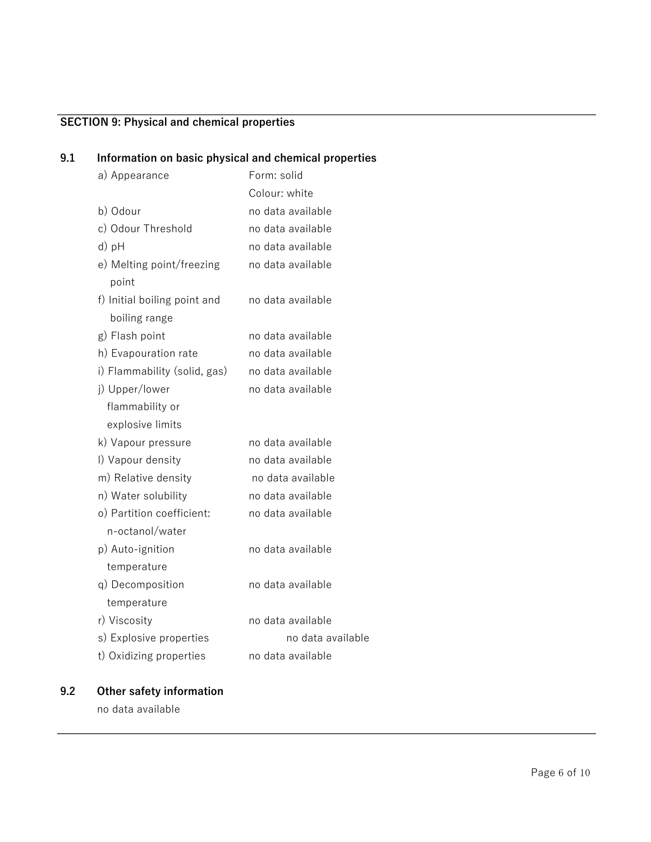# **SECTION 9: Physical and chemical properties**

# **9.1 Information on basic physical and chemical properties**

| a) Appearance                                 | Form: solid       |
|-----------------------------------------------|-------------------|
|                                               | Colour: white     |
| b) Odour                                      | no data available |
| c) Odour Threshold                            | no data available |
| d) pH                                         | no data available |
| e) Melting point/freezing<br>point            | no data available |
| f) Initial boiling point and<br>boiling range | no data available |
| g) Flash point                                | no data available |
| h) Evapouration rate                          | no data available |
| i) Flammability (solid, gas)                  | no data available |
| j) Upper/lower                                | no data available |
| flammability or                               |                   |
| explosive limits                              |                   |
| k) Vapour pressure                            | no data available |
| I) Vapour density                             | no data available |
| m) Relative density                           | no data available |
| n) Water solubility                           | no data available |
| o) Partition coefficient:                     | no data available |
| n-octanol/water                               |                   |
| p) Auto-ignition                              | no data available |
| temperature                                   |                   |
| q) Decomposition                              | no data available |
| temperature                                   |                   |
| r) Viscosity                                  | no data available |
| s) Explosive properties                       | no data available |
| t) Oxidizing properties                       | no data available |

# **9.2 Other safety information**

no data available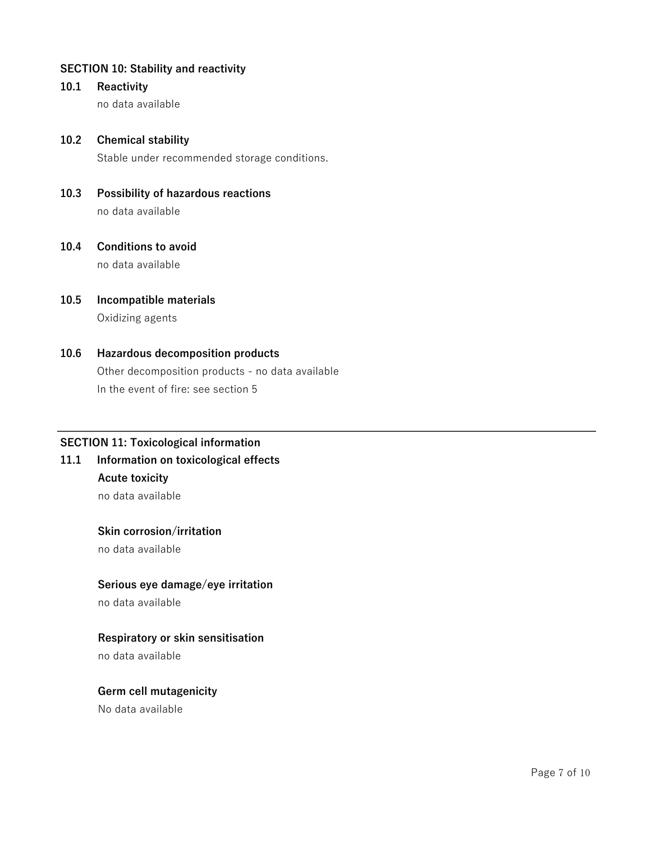# **SECTION 10: Stability and reactivity**

**10.1 Reactivity** 

no data available

# **10.2 Chemical stability**

Stable under recommended storage conditions.

- **10.3 Possibility of hazardous reactions**  no data available
- **10.4 Conditions to avoid**  no data available
- **10.5 Incompatible materials**  Oxidizing agents

# **10.6 Hazardous decomposition products**  Other decomposition products - no data available In the event of fire: see section 5

# **SECTION 11: Toxicological information**

**11.1 Information on toxicological effects Acute toxicity** 

no data available

#### **Skin corrosion/irritation**

no data available

# **Serious eye damage/eye irritation**

no data available

# **Respiratory or skin sensitisation**

no data available

#### **Germ cell mutagenicity**

No data available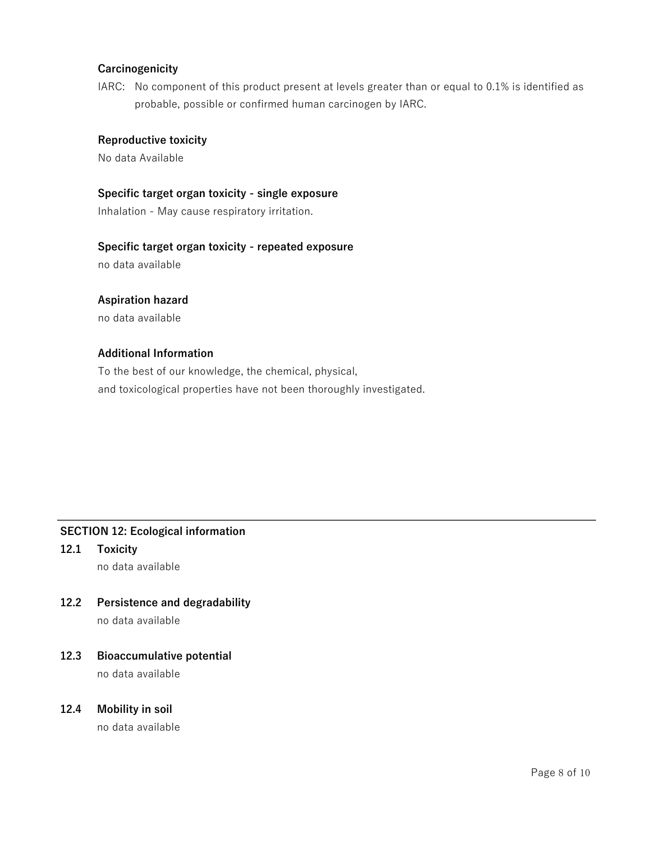# **Carcinogenicity**

IARC: No component of this product present at levels greater than or equal to 0.1% is identified as probable, possible or confirmed human carcinogen by IARC.

# **Reproductive toxicity**

No data Available

## **Specific target organ toxicity - single exposure**

Inhalation - May cause respiratory irritation.

#### **Specific target organ toxicity - repeated exposure**

no data available

# **Aspiration hazard**

no data available

# **Additional Information**

To the best of our knowledge, the chemical, physical, and toxicological properties have not been thoroughly investigated.

# **SECTION 12: Ecological information**

- **12.1 Toxicity**  no data available
- **12.2 Persistence and degradability**  no data available

# **12.3 Bioaccumulative potential**

no data available

# **12.4 Mobility in soil**

no data available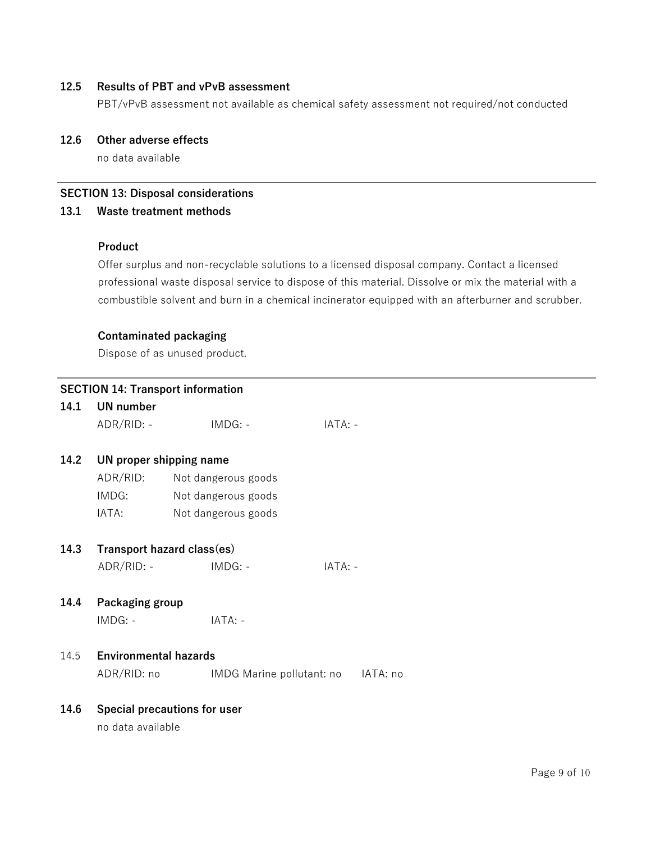# **12.5 Results of PBT and vPvB assessment**

PBT/vPvB assessment not available as chemical safety assessment not required/not conducted

# **12.6 Other adverse effects**

no data available

# **SECTION 13: Disposal considerations**

# **13.1 Waste treatment methods**

# **Product**

Offer surplus and non-recyclable solutions to a licensed disposal company. Contact a licensed professional waste disposal service to dispose of this material. Dissolve or mix the material with a combustible solvent and burn in a chemical incinerator equipped with an afterburner and scrubber.

#### **Contaminated packaging**

Dispose of as unused product.

# **SECTION 14: Transport information 14.1 UN number**  ADR/RID: - IMDG: - IMEGINE IATA: -**14.2 UN proper shipping name**  ADR/RID: Not dangerous goods IMDG: Not dangerous goods IATA: Not dangerous goods **14.3 Transport hazard class(es)** ADR/RID: - IMDG: - IMBG: - IATA: -**14.4 Packaging group**  IMDG: - IATA: - 14.5 **Environmental hazards** ADR/RID: no IMDG Marine pollutant: no IATA: no **14.6 Special precautions for user**

no data available